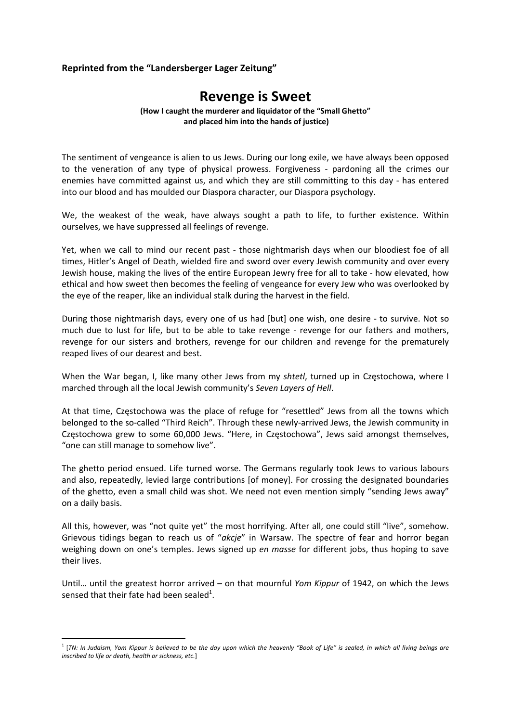## **Reprinted from the "Landersberger Lager Zeitung"**

## **Revenge is Sweet**

**(How I caught the murderer and liquidator of the "Small Ghetto" and placed him into the hands of justice)**

The sentiment of vengeance is alien to us Jews. During our long exile, we have always been opposed to the veneration of any type of physical prowess. Forgiveness - pardoning all the crimes our enemies have committed against us, and which they are still committing to this day - has entered into our blood and has moulded our Diaspora character, our Diaspora psychology.

We, the weakest of the weak, have always sought a path to life, to further existence. Within ourselves, we have suppressed all feelings of revenge.

Yet, when we call to mind our recent past - those nightmarish days when our bloodiest foe of all times, Hitler's Angel of Death, wielded fire and sword over every Jewish community and over every Jewish house, making the lives of the entire European Jewry free for all to take ‐ how elevated, how ethical and how sweet then becomes the feeling of vengeance for every Jew who was overlooked by the eye of the reaper, like an individual stalk during the harvest in the field.

During those nightmarish days, every one of us had [but] one wish, one desire - to survive. Not so much due to lust for life, but to be able to take revenge - revenge for our fathers and mothers, revenge for our sisters and brothers, revenge for our children and revenge for the prematurely reaped lives of our dearest and best.

When the War began, I, like many other Jews from my *shtetl*, turned up in Częstochowa, where I marched through all the local Jewish community's *Seven Layers of Hell*.

At that time, Częstochowa was the place of refuge for "resettled" Jews from all the towns which belonged to the so-called "Third Reich". Through these newly-arrived Jews, the Jewish community in Częstochowa grew to some 60,000 Jews. "Here, in Częstochowa", Jews said amongst themselves, "one can still manage to somehow live".

The ghetto period ensued. Life turned worse. The Germans regularly took Jews to various labours and also, repeatedly, levied large contributions [of money]. For crossing the designated boundaries of the ghetto, even a small child was shot. We need not even mention simply "sending Jews away" on a daily basis.

All this, however, was "not quite yet" the most horrifying. After all, one could still "live", somehow. Grievous tidings began to reach us of "*akcje*" in Warsaw. The spectre of fear and horror began weighing down on one's temples. Jews signed up *en masse* for different jobs, thus hoping to save their lives.

Until… until the greatest horror arrived – on that mournful *Yom Kippur* of 1942, on which the Jews sensed that their fate had been sealed<sup>1</sup>.

<sup>&</sup>lt;sup>1</sup> [TN: In Judaism, Yom Kippur is believed to be the day upon which the heavenly "Book of Life" is sealed, in which all living beings are *inscribed to life or death, health or sickness, etc.*]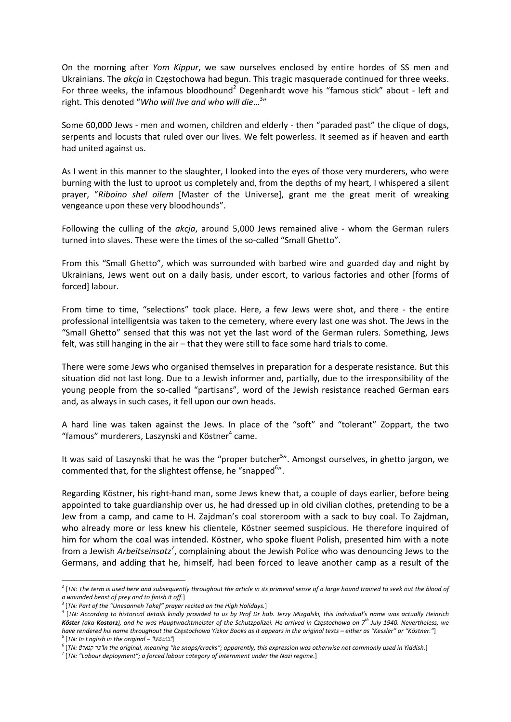On the morning after *Yom Kippur*, we saw ourselves enclosed by entire hordes of SS men and Ukrainians. The *akcja* in Częstochowa had begun. This tragic masquerade continued for three weeks. For three weeks, the infamous bloodhound<sup>2</sup> Degenhardt wove his "famous stick" about - left and right. This denoted "*Who will live and who will die*…<sup>3</sup> "

Some 60,000 Jews - men and women, children and elderly - then "paraded past" the clique of dogs, serpents and locusts that ruled over our lives. We felt powerless. It seemed as if heaven and earth had united against us.

As I went in this manner to the slaughter, I looked into the eyes of those very murderers, who were burning with the lust to uproot us completely and, from the depths of my heart, I whispered a silent prayer, "*Riboino shel oilem* [Master of the Universe], grant me the great merit of wreaking vengeance upon these very bloodhounds".

Following the culling of the *akcja*, around 5,000 Jews remained alive - whom the German rulers turned into slaves. These were the times of the so-called "Small Ghetto".

From this "Small Ghetto", which was surrounded with barbed wire and guarded day and night by Ukrainians, Jews went out on a daily basis, under escort, to various factories and other [forms of forced] labour.

From time to time, "selections" took place. Here, a few Jews were shot, and there - the entire professional intelligentsia was taken to the cemetery, where every last one was shot. The Jews in the "Small Ghetto" sensed that this was not yet the last word of the German rulers. Something, Jews felt, was still hanging in the air – that they were still to face some hard trials to come.

There were some Jews who organised themselves in preparation for a desperate resistance. But this situation did not last long. Due to a Jewish informer and, partially, due to the irresponsibility of the young people from the so-called "partisans", word of the Jewish resistance reached German ears and, as always in such cases, it fell upon our own heads.

A hard line was taken against the Jews. In place of the "soft" and "tolerant" Zoppart, the two "famous" murderers, Laszynski and Köstner $4$  came.

It was said of Laszynski that he was the "proper butcher<sup>5</sup>". Amongst ourselves, in ghetto jargon, we commented that, for the slightest offense, he "snapped<sup>6</sup>".

Regarding Köstner, his right‐hand man, some Jews knew that, a couple of days earlier, before being appointed to take guardianship over us, he had dressed up in old civilian clothes, pretending to be a Jew from a camp, and came to H. Zajdman's coal storeroom with a sack to buy coal. To Zajdman, who already more or less knew his clientele, Köstner seemed suspicious. He therefore inquired of him for whom the coal was intended. Köstner, who spoke fluent Polish, presented him with a note from a Jewish *Arbeitseinsatz<sup>7</sup>* , complaining about the Jewish Police who was denouncing Jews to the Germans, and adding that he, himself, had been forced to leave another camp as a result of the

 $^2$  [TN: The term is used here and subsequently throughout the article in its primeval sense of a large hound trained to seek out the blood of a wounded beast of prey and to finish it off.]<br><sup>3</sup> [TN: Part of the "Unesanneh Tokef" prayer recited on the High Holidays.]

<sup>&</sup>lt;sup>4</sup> [TN: According to historical details kindly provided to us by Prof Dr hab. Jerzy Mizgalski, this individual's name was actually Heinrich **Köster** (aka **Kostorz**), and he was Hauptwachtmeister of the Schutzpolizei. He arrived in Częstochowa on 7<sup>th</sup> July 1940. Nevertheless, we have rendered his name throughout the Częstochowa Yizkor Books as it appears in the original texts – either as "Kessler" or "Köstner."]<br><sup>5</sup> [TN: In English in the original – "במשעל!"]<br><sup>6</sup> [TN: משתושה "re snaps/cracks"; ap

<sup>7</sup> [*TN: "Labour deployment"; a forced labour category of internment under the Nazi regime*.]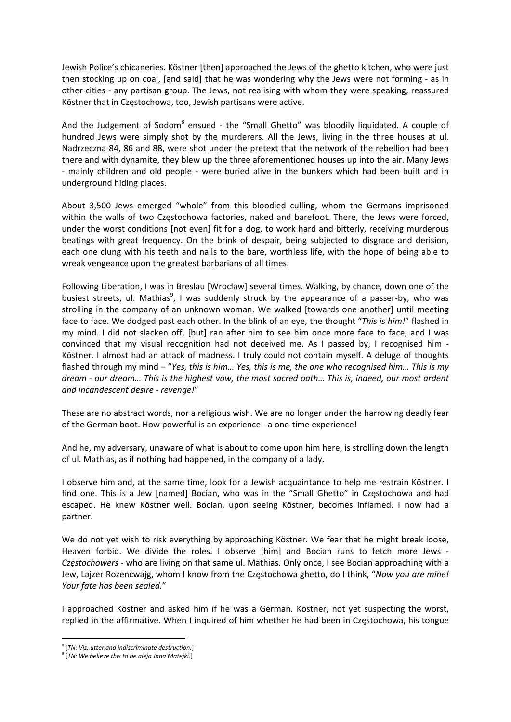Jewish Police's chicaneries. Köstner [then] approached the Jews of the ghetto kitchen, who were just then stocking up on coal, [and said] that he was wondering why the Jews were not forming - as in other cities ‐ any partisan group. The Jews, not realising with whom they were speaking, reassured Köstner that in Częstochowa, too, Jewish partisans were active.

And the Judgement of Sodom<sup>8</sup> ensued - the "Small Ghetto" was bloodily liquidated. A couple of hundred Jews were simply shot by the murderers. All the Jews, living in the three houses at ul. Nadrzeczna 84, 86 and 88, were shot under the pretext that the network of the rebellion had been there and with dynamite, they blew up the three aforementioned houses up into the air. Many Jews ‐ mainly children and old people ‐ were buried alive in the bunkers which had been built and in underground hiding places.

About 3,500 Jews emerged "whole" from this bloodied culling, whom the Germans imprisoned within the walls of two Częstochowa factories, naked and barefoot. There, the Jews were forced, under the worst conditions [not even] fit for a dog, to work hard and bitterly, receiving murderous beatings with great frequency. On the brink of despair, being subjected to disgrace and derision, each one clung with his teeth and nails to the bare, worthless life, with the hope of being able to wreak vengeance upon the greatest barbarians of all times.

Following Liberation, I was in Breslau [Wrocław] several times. Walking, by chance, down one of the busiest streets, ul. Mathias<sup>9</sup>, I was suddenly struck by the appearance of a passer-by, who was strolling in the company of an unknown woman. We walked [towards one another] until meeting face to face. We dodged past each other. In the blink of an eye, the thought "*This is him!*" flashed in my mind. I did not slacken off, [but] ran after him to see him once more face to face, and I was convinced that my visual recognition had not deceived me. As I passed by, I recognised him ‐ Köstner. I almost had an attack of madness. I truly could not contain myself. A deluge of thoughts flashed through my mind – "*Yes, this is him… Yes, this is me, the one who recognised him… This is my* dream - our dream... This is the highest vow, the most sacred oath... This is, indeed, our most ardent *and incandescent desire ‐ revenge!*"

These are no abstract words, nor a religious wish. We are no longer under the harrowing deadly fear of the German boot. How powerful is an experience ‐ a one‐time experience!

And he, my adversary, unaware of what is about to come upon him here, is strolling down the length of ul. Mathias, as if nothing had happened, in the company of a lady.

I observe him and, at the same time, look for a Jewish acquaintance to help me restrain Köstner. I find one. This is a Jew [named] Bocian, who was in the "Small Ghetto" in Częstochowa and had escaped. He knew Köstner well. Bocian, upon seeing Köstner, becomes inflamed. I now had a partner.

We do not yet wish to risk everything by approaching Köstner. We fear that he might break loose, Heaven forbid. We divide the roles. I observe [him] and Bocian runs to fetch more Jews ‐ *Częstochowers* ‐ who are living on that same ul. Mathias. Only once, I see Bocian approaching with a Jew, Lajzer Rozencwajg, whom I know from the Częstochowa ghetto, do I think, "*Now you are mine! Your fate has been sealed.*"

I approached Köstner and asked him if he was a German. Köstner, not yet suspecting the worst, replied in the affirmative. When I inquired of him whether he had been in Częstochowa, his tongue

 <sup>8</sup> [*TN: Viz. utter and indiscriminate destruction.*]

<sup>9</sup> [*TN: We believe this to be aleja Jana Matejki.*]